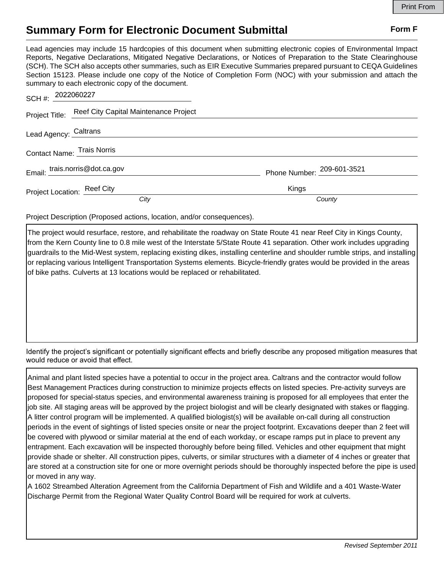## **Summary Form for Electronic Document Submittal Form F Form F**

Lead agencies may include 15 hardcopies of this document when submitting electronic copies of Environmental Impact Reports, Negative Declarations, Mitigated Negative Declarations, or Notices of Preparation to the State Clearinghouse (SCH). The SCH also accepts other summaries, such as EIR Executive Summaries prepared pursuant to CEQA Guidelines Section 15123. Please include one copy of the Notice of Completion Form (NOC) with your submission and attach the summary to each electronic copy of the document.

| SCH #: 2022060227              |                                                      |                            |  |
|--------------------------------|------------------------------------------------------|----------------------------|--|
|                                | Project Title: Reef City Capital Maintenance Project |                            |  |
| Lead Agency: Caltrans          |                                                      |                            |  |
| Contact Name: Trais Norris     |                                                      |                            |  |
| Email: trais.norris@dot.ca.gov |                                                      | Phone Number: 209-601-3521 |  |
| Project Location: Reef City    |                                                      | Kings                      |  |
|                                | City                                                 | County                     |  |

Project Description (Proposed actions, location, and/or consequences).

The project would resurface, restore, and rehabilitate the roadway on State Route 41 near Reef City in Kings County, from the Kern County line to 0.8 mile west of the Interstate 5/State Route 41 separation. Other work includes upgrading guardrails to the Mid-West system, replacing existing dikes, installing centerline and shoulder rumble strips, and installing or replacing various Intelligent Transportation Systems elements. Bicycle-friendly grates would be provided in the areas of bike paths. Culverts at 13 locations would be replaced or rehabilitated.

Identify the project's significant or potentially significant effects and briefly describe any proposed mitigation measures that would reduce or avoid that effect.

Animal and plant listed species have a potential to occur in the project area. Caltrans and the contractor would follow Best Management Practices during construction to minimize projects effects on listed species. Pre-activity surveys are proposed for special-status species, and environmental awareness training is proposed for all employees that enter the job site. All staging areas will be approved by the project biologist and will be clearly designated with stakes or flagging. A litter control program will be implemented. A qualified biologist(s) will be available on-call during all construction periods in the event of sightings of listed species onsite or near the project footprint. Excavations deeper than 2 feet will be covered with plywood or similar material at the end of each workday, or escape ramps put in place to prevent any entrapment. Each excavation will be inspected thoroughly before being filled. Vehicles and other equipment that might provide shade or shelter. All construction pipes, culverts, or similar structures with a diameter of 4 inches or greater that are stored at a construction site for one or more overnight periods should be thoroughly inspected before the pipe is used or moved in any way.

A 1602 Streambed Alteration Agreement from the California Department of Fish and Wildlife and a 401 Waste-Water Discharge Permit from the Regional Water Quality Control Board will be required for work at culverts.